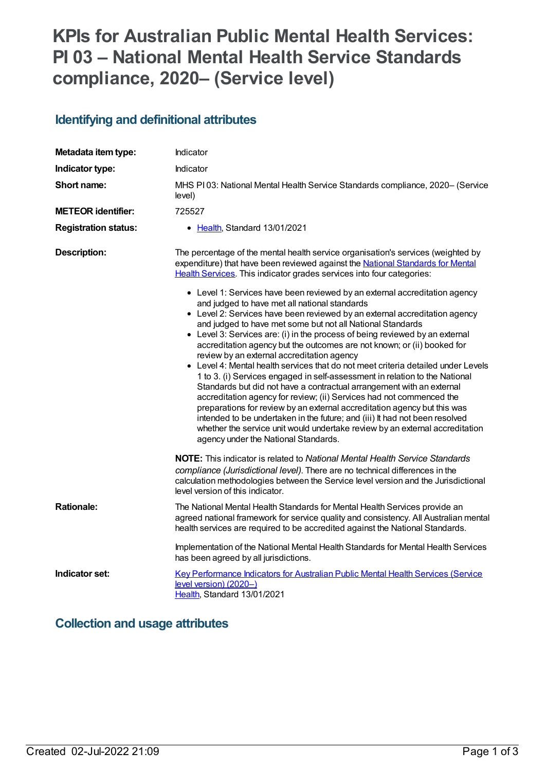# **KPIs for Australian Public Mental Health Services: PI 03 – National Mental Health Service Standards compliance, 2020– (Service level)**

# **Identifying and definitional attributes**

| Metadata item type:         | Indicator                                                                                                                                                                                                                                                                                                                                                                                                                                                                                                                                                                                                                                                                                                                                                                                                                                                                                                                                                                                                                                                                                                                        |
|-----------------------------|----------------------------------------------------------------------------------------------------------------------------------------------------------------------------------------------------------------------------------------------------------------------------------------------------------------------------------------------------------------------------------------------------------------------------------------------------------------------------------------------------------------------------------------------------------------------------------------------------------------------------------------------------------------------------------------------------------------------------------------------------------------------------------------------------------------------------------------------------------------------------------------------------------------------------------------------------------------------------------------------------------------------------------------------------------------------------------------------------------------------------------|
| Indicator type:             | Indicator                                                                                                                                                                                                                                                                                                                                                                                                                                                                                                                                                                                                                                                                                                                                                                                                                                                                                                                                                                                                                                                                                                                        |
| <b>Short name:</b>          | MHS PI03: National Mental Health Service Standards compliance, 2020– (Service<br>level)                                                                                                                                                                                                                                                                                                                                                                                                                                                                                                                                                                                                                                                                                                                                                                                                                                                                                                                                                                                                                                          |
| <b>METEOR identifier:</b>   | 725527                                                                                                                                                                                                                                                                                                                                                                                                                                                                                                                                                                                                                                                                                                                                                                                                                                                                                                                                                                                                                                                                                                                           |
| <b>Registration status:</b> | • Health, Standard 13/01/2021                                                                                                                                                                                                                                                                                                                                                                                                                                                                                                                                                                                                                                                                                                                                                                                                                                                                                                                                                                                                                                                                                                    |
| <b>Description:</b>         | The percentage of the mental health service organisation's services (weighted by<br>expenditure) that have been reviewed against the National Standards for Mental<br>Health Services. This indicator grades services into four categories:<br>• Level 1: Services have been reviewed by an external accreditation agency<br>and judged to have met all national standards<br>• Level 2: Services have been reviewed by an external accreditation agency<br>and judged to have met some but not all National Standards<br>• Level 3: Services are: (i) in the process of being reviewed by an external<br>accreditation agency but the outcomes are not known; or (ii) booked for<br>review by an external accreditation agency<br>• Level 4: Mental health services that do not meet criteria detailed under Levels<br>1 to 3. (i) Services engaged in self-assessment in relation to the National<br>Standards but did not have a contractual arrangement with an external<br>accreditation agency for review; (ii) Services had not commenced the<br>preparations for review by an external accreditation agency but this was |
|                             | intended to be undertaken in the future; and (iii) It had not been resolved<br>whether the service unit would undertake review by an external accreditation<br>agency under the National Standards.                                                                                                                                                                                                                                                                                                                                                                                                                                                                                                                                                                                                                                                                                                                                                                                                                                                                                                                              |
|                             | <b>NOTE:</b> This indicator is related to <i>National Mental Health Service Standards</i><br>compliance (Jurisdictional level). There are no technical differences in the<br>calculation methodologies between the Service level version and the Jurisdictional<br>level version of this indicator.                                                                                                                                                                                                                                                                                                                                                                                                                                                                                                                                                                                                                                                                                                                                                                                                                              |
| <b>Rationale:</b>           | The National Mental Health Standards for Mental Health Services provide an<br>agreed national framework for service quality and consistency. All Australian mental<br>health services are required to be accredited against the National Standards.                                                                                                                                                                                                                                                                                                                                                                                                                                                                                                                                                                                                                                                                                                                                                                                                                                                                              |
|                             | Implementation of the National Mental Health Standards for Mental Health Services<br>has been agreed by all jurisdictions.                                                                                                                                                                                                                                                                                                                                                                                                                                                                                                                                                                                                                                                                                                                                                                                                                                                                                                                                                                                                       |
| Indicator set:              | Key Performance Indicators for Australian Public Mental Health Services (Service<br>level version) (2020-)<br>Health, Standard 13/01/2021                                                                                                                                                                                                                                                                                                                                                                                                                                                                                                                                                                                                                                                                                                                                                                                                                                                                                                                                                                                        |

### **Collection and usage attributes**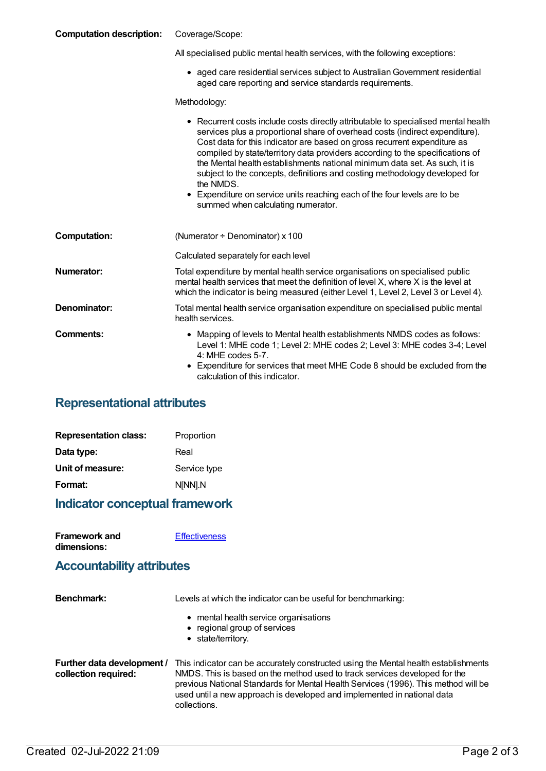#### **Computation description:** Coverage/Scope:

| All specialised public mental health services, with the following exceptions: |  |  |
|-------------------------------------------------------------------------------|--|--|

aged care residential services subject to AustralianGovernment residential aged care reporting and service standards requirements.

Methodology:

|                     | • Recurrent costs include costs directly attributable to specialised mental health<br>services plus a proportional share of overhead costs (indirect expenditure).<br>Cost data for this indicator are based on gross recurrent expenditure as<br>compiled by state/territory data providers according to the specifications of<br>the Mental health establishments national minimum data set. As such, it is<br>subject to the concepts, definitions and costing methodology developed for<br>the NMDS.<br>• Expenditure on service units reaching each of the four levels are to be<br>summed when calculating numerator. |
|---------------------|-----------------------------------------------------------------------------------------------------------------------------------------------------------------------------------------------------------------------------------------------------------------------------------------------------------------------------------------------------------------------------------------------------------------------------------------------------------------------------------------------------------------------------------------------------------------------------------------------------------------------------|
| <b>Computation:</b> | (Numerator $\div$ Denominator) x 100                                                                                                                                                                                                                                                                                                                                                                                                                                                                                                                                                                                        |
|                     | Calculated separately for each level                                                                                                                                                                                                                                                                                                                                                                                                                                                                                                                                                                                        |
| <b>Numerator:</b>   | Total expenditure by mental health service organisations on specialised public<br>mental health services that meet the definition of level X, where X is the level at<br>which the indicator is being measured (either Level 1, Level 2, Level 3 or Level 4).                                                                                                                                                                                                                                                                                                                                                               |
| Denominator:        | Total mental health service organisation expenditure on specialised public mental<br>health services.                                                                                                                                                                                                                                                                                                                                                                                                                                                                                                                       |
| Comments:           | • Mapping of levels to Mental health establishments NMDS codes as follows:<br>Level 1: MHE code 1; Level 2: MHE codes 2; Level 3: MHE codes 3-4; Level<br>$4:$ MHE codes 5-7.<br>Expenditure for services that meet MHE Code 8 should be excluded from the<br>calculation of this indicator.                                                                                                                                                                                                                                                                                                                                |

### **Representational attributes**

| <b>Representation class:</b> | Proportion   |
|------------------------------|--------------|
| Data type:                   | Real         |
| Unit of measure:             | Service type |
| Format:                      | N[NN].N      |

### **Indicator conceptual framework**

| <b>Framework and</b> | <b>Effectiveness</b> |
|----------------------|----------------------|
| dimensions:          |                      |

#### **Accountability attributes**

| <b>Benchmark:</b>                                  | Levels at which the indicator can be useful for benchmarking:                                                                                                                                                                                                                                                                                      |
|----------------------------------------------------|----------------------------------------------------------------------------------------------------------------------------------------------------------------------------------------------------------------------------------------------------------------------------------------------------------------------------------------------------|
|                                                    | • mental health service organisations<br>• regional group of services<br>• state/territory.                                                                                                                                                                                                                                                        |
|                                                    |                                                                                                                                                                                                                                                                                                                                                    |
| Further data development /<br>collection required: | This indicator can be accurately constructed using the Mental health establishments<br>NMDS. This is based on the method used to track services developed for the<br>previous National Standards for Mental Health Services (1996). This method will be<br>used until a new approach is developed and implemented in national data<br>collections. |